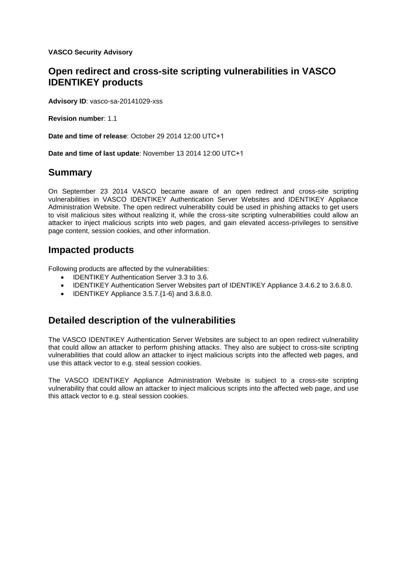**VASCO Security Advisory** 

## **Open redirect and cross-site scripting vulnerabilities in VASCO IDENTIKEY products**

**Advisory ID**: vasco-sa-20141029-xss

**Revision number**: 1.1

**Date and time of release**: October 29 2014 12:00 UTC+1

**Date and time of last update**: November 13 2014 12:00 UTC+1

## **Summary**

On September 23 2014 VASCO became aware of an open redirect and cross-site scripting vulnerabilities in VASCO IDENTIKEY Authentication Server Websites and IDENTIKEY Appliance Administration Website. The open redirect vulnerability could be used in phishing attacks to get users to visit malicious sites without realizing it, while the cross-site scripting vulnerabilities could allow an attacker to inject malicious scripts into web pages, and gain elevated access-privileges to sensitive page content, session cookies, and other information.

## **Impacted products**

Following products are affected by the vulnerabilities:

- IDENTIKEY Authentication Server 3.3 to 3.6.
- IDENTIKEY Authentication Server Websites part of IDENTIKEY Appliance 3.4.6.2 to 3.6.8.0.
- $\bullet$  IDENTIKEY Appliance 3.5.7. $\{1-6\}$  and 3.6.8.0.

# **Detailed description of the vulnerabilities**

The VASCO IDENTIKEY Authentication Server Websites are subject to an open redirect vulnerability that could allow an attacker to perform phishing attacks. They also are subject to cross-site scripting vulnerabilities that could allow an attacker to inject malicious scripts into the affected web pages, and use this attack vector to e.g. steal session cookies.

The VASCO IDENTIKEY Appliance Administration Website is subject to a cross-site scripting vulnerability that could allow an attacker to inject malicious scripts into the affected web page, and use this attack vector to e.g. steal session cookies.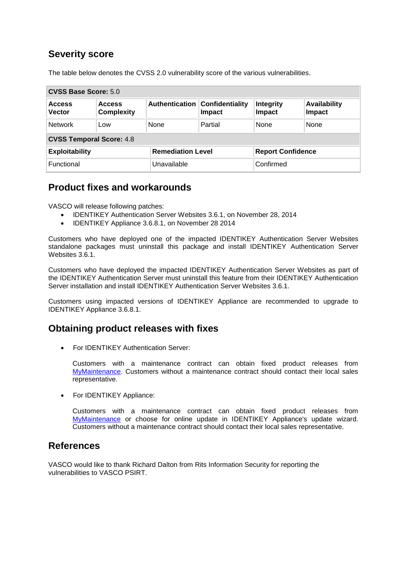# **Severity score**

The table below denotes the CVSS 2.0 vulnerability score of the various vulnerabilities.

| CVSS Base Score: 5.0            |                                    |                          |                           |                          |                               |
|---------------------------------|------------------------------------|--------------------------|---------------------------|--------------------------|-------------------------------|
| <b>Access</b><br><b>Vector</b>  | <b>Access</b><br><b>Complexity</b> | Authentication           | Confidentiality<br>Impact | Integrity<br>Impact      | <b>Availability</b><br>Impact |
| Network                         | <b>LOW</b>                         | None                     | Partial                   | None                     | None                          |
| <b>CVSS Temporal Score: 4.8</b> |                                    |                          |                           |                          |                               |
| <b>Exploitability</b>           |                                    | <b>Remediation Level</b> |                           | <b>Report Confidence</b> |                               |
| Functional                      |                                    | Unavailable              |                           | Confirmed                |                               |

#### **Product fixes and workarounds**

VASCO will release following patches:

- IDENTIKEY Authentication Server Websites 3.6.1, on November 28, 2014
- IDENTIKEY Appliance 3.6.8.1, on November 28 2014

Customers who have deployed one of the impacted IDENTIKEY Authentication Server Websites standalone packages must uninstall this package and install IDENTIKEY Authentication Server Websites 3.6.1.

Customers who have deployed the impacted IDENTIKEY Authentication Server Websites as part of the IDENTIKEY Authentication Server must uninstall this feature from their IDENTIKEY Authentication Server installation and install IDENTIKEY Authentication Server Websites 3.6.1.

Customers using impacted versions of IDENTIKEY Appliance are recommended to upgrade to IDENTIKEY Appliance 3.6.8.1.

## **Obtaining product releases with fixes**

• For IDENTIKEY Authentication Server:

Customers with a maintenance contract can obtain fixed product releases from [MyMaintenance.](http://www.vasco.com/support/support/my_maintenance/default.aspx) Customers without a maintenance contract should contact their local sales representative.

• For IDENTIKEY Appliance:

Customers with a maintenance contract can obtain fixed product releases from [MyMaintenance](http://www.vasco.com/support/support/my_maintenance/default.aspx) or choose for online update in IDENTIKEY Appliance's update wizard. Customers without a maintenance contract should contact their local sales representative.

#### **References**

VASCO would like to thank Richard Dalton from Rits Information Security for reporting the vulnerabilities to VASCO PSIRT.